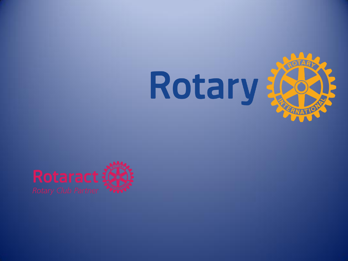

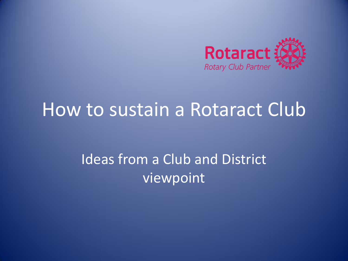

## How to sustain a Rotaract Club

### Ideas from a Club and District viewpoint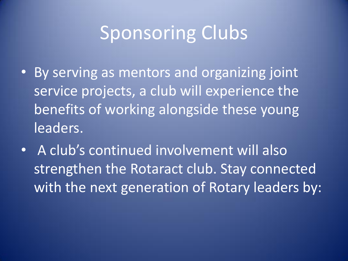# Sponsoring Clubs

- By serving as mentors and organizing joint service projects, a club will experience the benefits of working alongside these young leaders.
- A club's continued involvement will also strengthen the Rotaract club. Stay connected with the next generation of Rotary leaders by: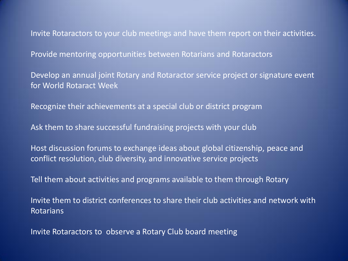Invite Rotaractors to your club meetings and have them report on their activities.

Provide mentoring opportunities between Rotarians and Rotaractors

Develop an annual joint Rotary and Rotaractor service project or signature event for World Rotaract Week

Recognize their achievements at a special club or district program

Ask them to share successful fundraising projects with your club

Host discussion forums to exchange ideas about global citizenship, peace and conflict resolution, club diversity, and innovative service projects

Tell them about activities and programs available to them through Rotary

Invite them to district conferences to share their club activities and network with Rotarians

Invite Rotaractors to observe a Rotary Club board meeting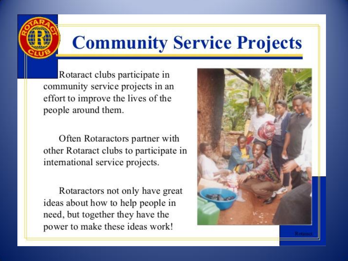# Community Service Projects

Rotaract clubs participate in community service projects in an effort to improve the lives of the people around them.

Often Rotaractors partner with other Rotaract clubs to participate in international service projects.

Rotaractors not only have great ideas about how to help people in need, but together they have the power to make these ideas work!

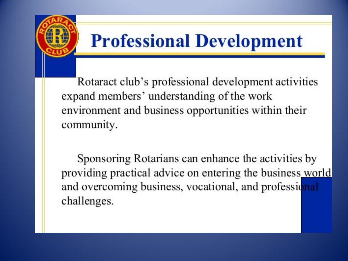

# **Professional Development**

Rotaract club's professional development activities expand members' understanding of the work environment and business opportunities within their community.

Sponsoring Rotarians can enhance the activities by providing practical advice on entering the business world and overcoming business, vocational, and professional challenges.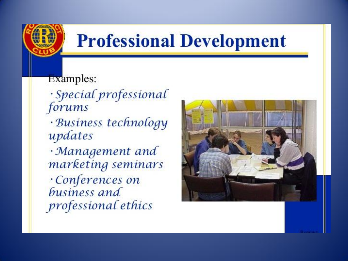# **Professional Development**

### Examples:

- · Special professional forums
- · Business technology updates
- · Management and marketing seminars Conferences on business and professional ethics

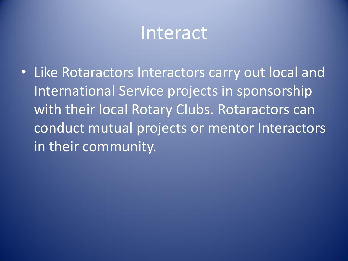## Interact

• Like Rotaractors Interactors carry out local and International Service projects in sponsorship with their local Rotary Clubs. Rotaractors can conduct mutual projects or mentor Interactors in their community.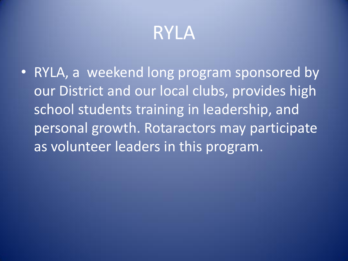# RYLA

• RYLA, a weekend long program sponsored by our District and our local clubs, provides high school students training in leadership, and personal growth. Rotaractors may participate as volunteer leaders in this program.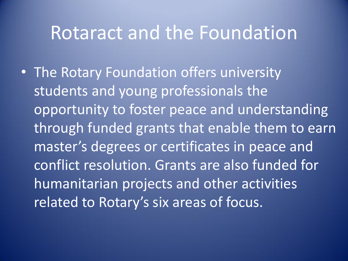# Rotaract and the Foundation

• The Rotary Foundation offers university students and young professionals the opportunity to foster peace and understanding through funded grants that enable them to earn master's degrees or certificates in peace and conflict resolution. Grants are also funded for humanitarian projects and other activities related to Rotary's six areas of focus.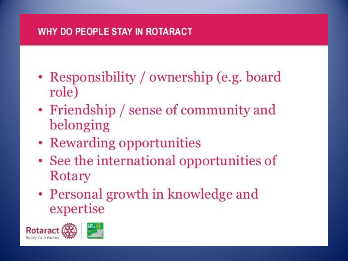#### WHY DO PEOPLE STAY IN ROTARACT

- Responsibility / ownership (e.g. board role)
- Friendship / sense of community and belonging
- Rewarding opportunities
- See the international opportunities of Rotary
- Personal growth in knowledge and expertise